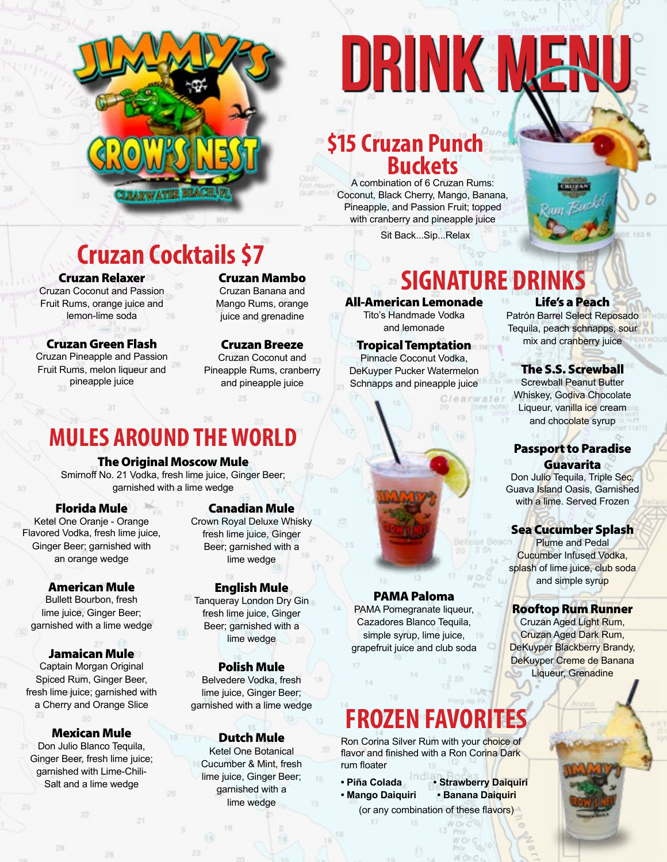

# DRINK ME

# **Cruzan Punch \$15Buckets**

A combination of 6 Cruzan Rums: Coconut, Black Cherry, Mango, Banana, Pineapple, and Passion Fruit; topped with cranberry and pineapple juice

Sit Back...Sip...Relax



# **Cruzan Cocktails \$7**

Cruzan Relaxer

Cruzan Coconut and Passion Fruit Rums, orange juice and lemon-lime soda

Cruzan Green Flash Cruzan Pineapple and Passion Fruit Rums, melon liqueur and pineapple juice

Cruzan Mambo Cruzan Banana and Mango Rums, orange juice and grenadine

Cruzan Breeze Cruzan Coconut and Pineapple Rums, cranberry and pineapple juice

### All-American Lemonade Life's a Peach **SIGNATURE DRINKS**

Tito's Handmade Vodka and lemonade

Tropical Temptation Pinnacle Coconut Vodka, DeKuyper Pucker Watermelon Schnapps and pineapple juice

# **MULES AROUND THE WORLD**

### The Original Moscow Mule

Smirnoff No. 21 Vodka, fresh lime juice, Ginger Beer; garnished with a lime wedge

### Florida Mule

Ketel One Oranje - Orange Flavored Vodka, fresh lime juice, Ginger Beer; garnished with an orange wedge

### American Mule

Bullett Bourbon, fresh lime juice, Ginger Beer; garnished with a lime wedge

### Jamaican Mule

Captain Morgan Original Spiced Rum, Ginger Beer, fresh lime juice; garnished with a Cherry and Orange Slice

### Mexican Mule

Don Julio Blanco Tequila, Ginger Beer, fresh lime juice; garnished with Lime-Chili-Salt and a lime wedge

### Canadian Mule

Crown Royal Deluxe Whisky fresh lime juice, Ginger Beer; garnished with a lime wedge

### English Mule

Tanqueray London Dry Gin fresh lime juice, Ginger Beer; garnished with a lime wedge

### Polish Mule

Belvedere Vodka, fresh lime juice, Ginger Beer; garnished with a lime wedge

### Dutch Mule

Ketel One Botanical Cucumber & Mint, fresh lime juice, Ginger Beer; garnished with a lime wedge

### PAMA Paloma

PAMA Pomegranate liqueur, Cazadores Blanco Tequila, simple syrup, lime juice, grapefruit juice and club soda

# **FROZEN FAVORITES**

Ron Corina Silver Rum with your choice of flavor and finished with a Ron Corina Dark rum floater

- **Piña Colada Strawberry Daiquiri**
- 
- **Mango Daiquiri Banana Daiquiri**  (or any combination of these flavors)

Patrón Barrel Select Reposado Tequila, peach schnapps, sour mix and cranberry juice

### The S.S. Screwball

Screwball Peanut Butter Whiskey, Godiva Chocolate Liqueur, vanilla ice cream and chocolate syrup

### Passport to Paradise **Guavarita**

Don Julio Tequila, Triple Sec. Guava Island Oasis, Garnished with a lime. Served Frozen

### Sea Cucumber Splash

Plume and Pedal Cucumber Infused Vodka, splash of lime juice, club soda and simple syrup

### Rooftop Rum Runner

Cruzan Aged Light Rum, Cruzan Aged Dark Rum, DeKuyper Blackberry Brandy, DeKuyper Creme de Banana Liqueur, Grenadine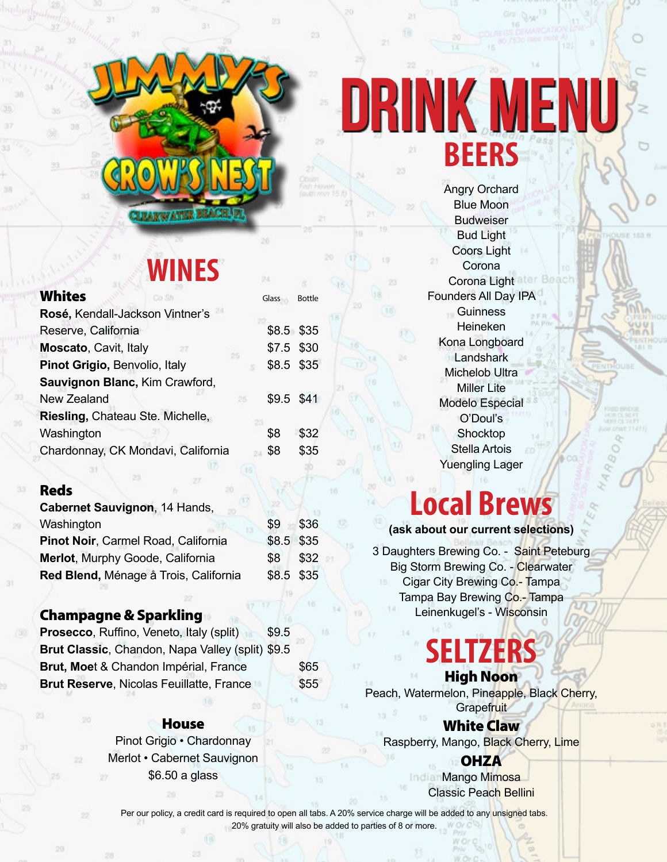# **WINES**

| Whites                                     | Glass | Bottle |
|--------------------------------------------|-------|--------|
| $\mathbf{D}$ aaá Kandall Lagkaan Vintuaria |       |        |

| Rosé, Kendall-Jackson Vintner's    |    |             |      |
|------------------------------------|----|-------------|------|
| Reserve, California                |    | $$8.5$ \$35 |      |
| Moscato, Cavit, Italy<br>27        |    | \$7.5       | \$30 |
| Pinot Grigio, Benvolio, Italy      |    | \$8.5 \$35  |      |
| Sauvignon Blanc, Kim Crawford,     |    |             |      |
| <b>New Zealand</b>                 | 25 | \$9.5 \$41  |      |
| Riesling, Chateau Ste. Michelle,   |    |             |      |
| Washington                         |    | \$8         | \$32 |
| Chardonnay, CK Mondavi, California |    | \$8         | \$35 |
|                                    |    |             |      |

### Reds

| \$9          | \$36 |                          |
|--------------|------|--------------------------|
|              |      |                          |
| $$8^{\circ}$ | \$32 |                          |
|              |      |                          |
|              |      | \$8.5 \$35<br>\$8.5 \$35 |

### Champagne & Sparkling

| Prosecco, Ruffino, Veneto, Italy (split)<br>\$9.5 |      |
|---------------------------------------------------|------|
| Brut Classic, Chandon, Napa Valley (split) \$9.5  |      |
| Brut, Moet & Chandon Impérial, France             | \$65 |
| <b>Brut Reserve, Nicolas Feuillatte, France</b>   | \$55 |

### **House**

Pinot Grigio • Chardonnay Merlot • Cabernet Sauvignon \$6.50 a glass

# **BEERS Drink MENU**

Angry Orchard Blue Moon Budweiser Bud Light Coors Light **Corona** Corona Light Founders All Day IPA **Guinness** Heineken Kona Longboard **Landshark** Michelob Ultra Miller Lite Modelo Especial O'Doul's **Shocktop** Stella Artois Yuengling Lager

# **Local Brews**

**(ask about our current selections)**

3 Daughters Brewing Co. - Saint Peteburg Big Storm Brewing Co. - Clearwater Cigar City Brewing Co.- Tampa Tampa Bay Brewing Co.- Tampa Leinenkugel's - Wisconsin

### **SELTZERS** High Noon

Peach, Watermelon, Pineapple, Black Cherry, **Grapefruit** 

White Claw Raspberry, Mango, Black Cherry, Lime

> **OHZA Mango Mimosa** Classic Peach Bellini

Per our policy, a credit card is required to open all tabs. A 20% service charge will be added to any unsigned tabs. 20% gratuity will also be added to parties of 8 or more.